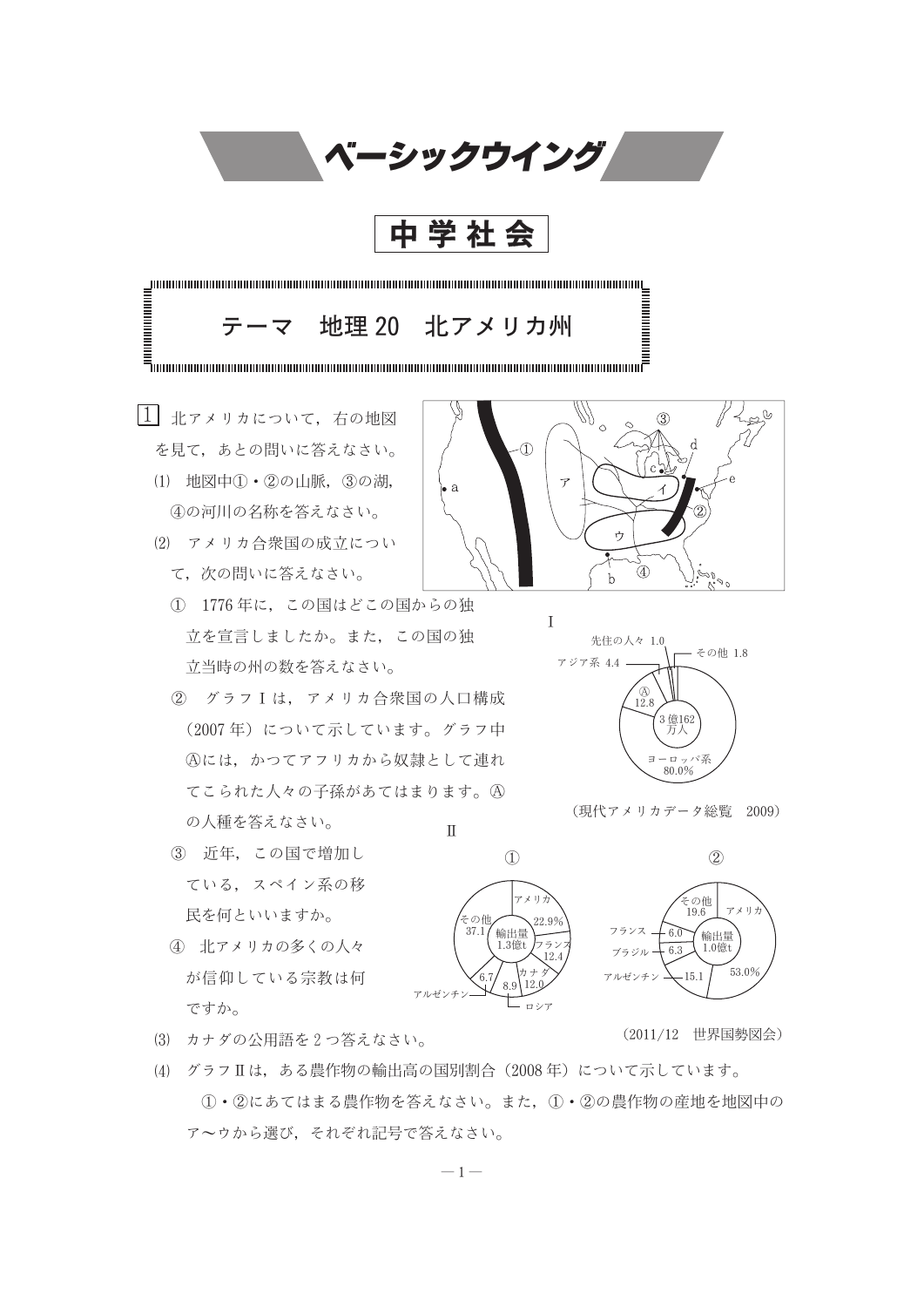

(4) グラフⅡは、ある農作物の輸出高の国別割合 (2008年) について示しています。 1·2にあてはまる農作物を答えなさい。また、1·2の農作物の産地を地図中の アーウから選び、それぞれ記号で答えなさい。